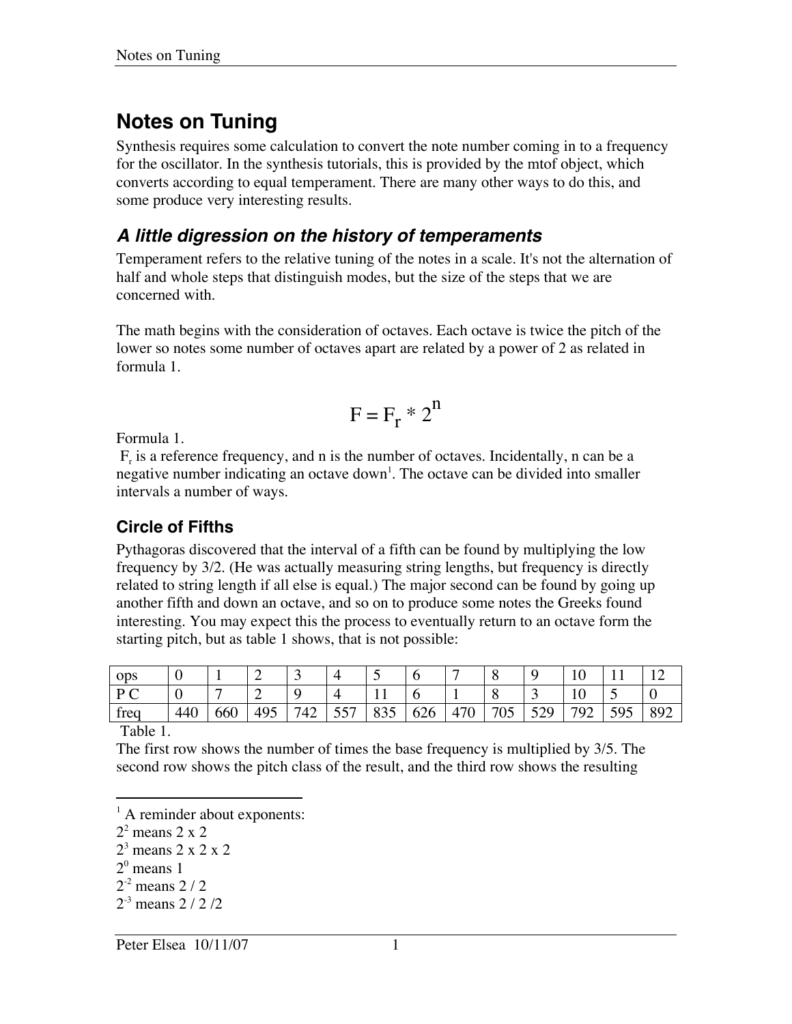# **Notes on Tuning**

Synthesis requires some calculation to convert the note number coming in to a frequency for the oscillator. In the synthesis tutorials, this is provided by the mtof object, which converts according to equal temperament. There are many other ways to do this, and some produce very interesting results.

#### **A little digression on the history of temperaments**

Temperament refers to the relative tuning of the notes in a scale. It's not the alternation of half and whole steps that distinguish modes, but the size of the steps that we are concerned with.

The math begins with the consideration of octaves. Each octave is twice the pitch of the lower so notes some number of octaves apart are related by a power of 2 as related in formula 1.

$$
F = F_r * 2^n
$$

Formula 1.

 $F_r$  is a reference frequency, and n is the number of octaves. Incidentally, n can be a negative number indicating an octave down<sup>1</sup>. The octave can be divided into smaller intervals a number of ways.

#### **Circle of Fifths**

Pythagoras discovered that the interval of a fifth can be found by multiplying the low frequency by 3/2. (He was actually measuring string lengths, but frequency is directly related to string length if all else is equal.) The major second can be found by going up another fifth and down an octave, and so on to produce some notes the Greeks found interesting. You may expect this the process to eventually return to an octave form the starting pitch, but as table 1 shows, that is not possible:

| <b>ODS</b>     | ◡   |     |     | ັ   |             | ~          |               |                           | $\Omega$<br>O |               | ιv       |     |     |
|----------------|-----|-----|-----|-----|-------------|------------|---------------|---------------------------|---------------|---------------|----------|-----|-----|
| $D \cap$<br>◡  | ◡   |     |     |     |             |            |               |                           | $\Omega$<br>v | ັ             | 1Ψ       | ັ   |     |
| $\sim$<br>treq | 440 | 660 | 495 | 742 | 557<br>ا پر | 835<br>833 | $\sim$<br>626 | $470^{\circ}$<br>41<br>'U | 705<br>UJ     | 529<br>ر بے ر | 792<br>ے | 595 | 892 |

Table 1.

 $\overline{a}$ 

The first row shows the number of times the base frequency is multiplied by 3/5. The second row shows the pitch class of the result, and the third row shows the resulting

 $2^{\circ}$  means 1

 $<sup>1</sup>$  A reminder about exponents:</sup>

 $2^2$  means 2 x 2

 $2<sup>3</sup>$  means 2 x 2 x 2

 $2^{-2}$  means 2 / 2

 $2^{-3}$  means 2 / 2 / 2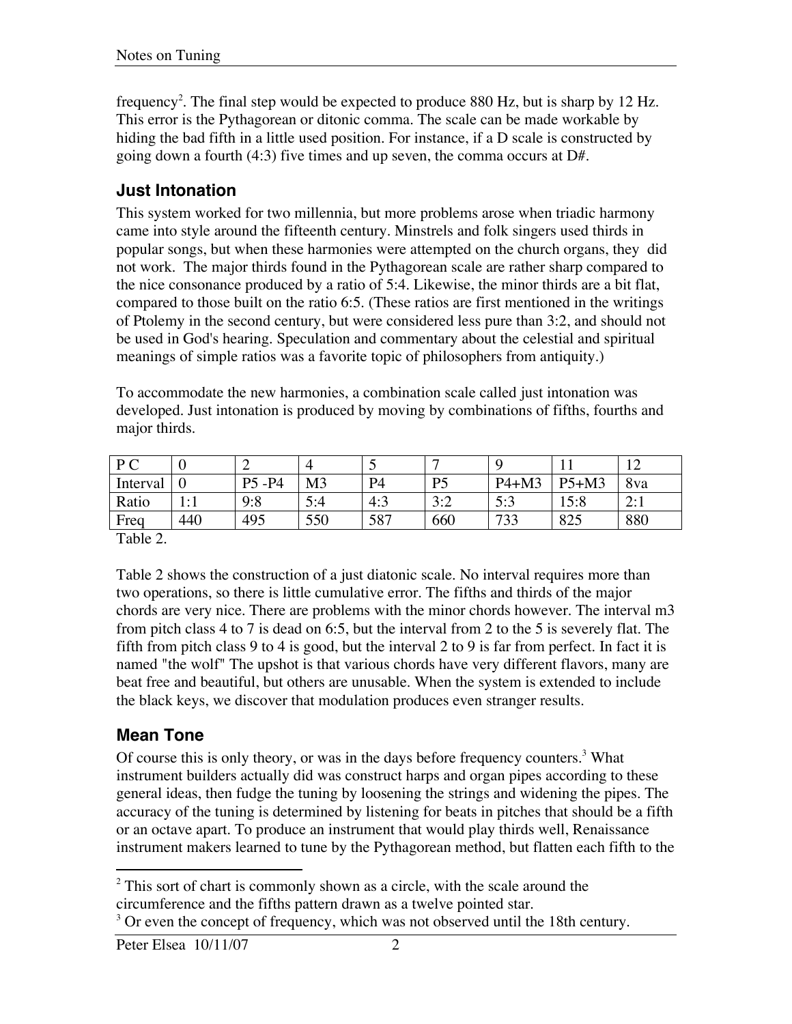frequency<sup>2</sup>. The final step would be expected to produce 880 Hz, but is sharp by 12 Hz. This error is the Pythagorean or ditonic comma. The scale can be made workable by hiding the bad fifth in a little used position. For instance, if a D scale is constructed by going down a fourth (4:3) five times and up seven, the comma occurs at D#.

#### **Just Intonation**

This system worked for two millennia, but more problems arose when triadic harmony came into style around the fifteenth century. Minstrels and folk singers used thirds in popular songs, but when these harmonies were attempted on the church organs, they did not work. The major thirds found in the Pythagorean scale are rather sharp compared to the nice consonance produced by a ratio of 5:4. Likewise, the minor thirds are a bit flat, compared to those built on the ratio 6:5. (These ratios are first mentioned in the writings of Ptolemy in the second century, but were considered less pure than 3:2, and should not be used in God's hearing. Speculation and commentary about the celestial and spiritual meanings of simple ratios was a favorite topic of philosophers from antiquity.)

To accommodate the new harmonies, a combination scale called just intonation was developed. Just intonation is produced by moving by combinations of fifths, fourths and major thirds.

| $D \cap$ |            |             |     |     | –                      | C          |         |     |
|----------|------------|-------------|-----|-----|------------------------|------------|---------|-----|
| Interval |            | $-P4$<br>P5 | M3  | P4  | D5                     | $P4+M3$    | $P5+M3$ | 8va |
| Ratio    | . . 7<br>. | 9:8         | 5:4 | 4:3 | 2.2<br>$\cup$ . $\sim$ | 5.3<br>J.J | 15:8    | 2:1 |
| Freq     | 440        | 495         | 550 | 587 | 660                    | 733        | 825     | 880 |

Table 2.

Table 2 shows the construction of a just diatonic scale. No interval requires more than two operations, so there is little cumulative error. The fifths and thirds of the major chords are very nice. There are problems with the minor chords however. The interval m3 from pitch class 4 to 7 is dead on 6:5, but the interval from 2 to the 5 is severely flat. The fifth from pitch class 9 to 4 is good, but the interval 2 to 9 is far from perfect. In fact it is named "the wolf" The upshot is that various chords have very different flavors, many are beat free and beautiful, but others are unusable. When the system is extended to include the black keys, we discover that modulation produces even stranger results.

#### **Mean Tone**

Of course this is only theory, or was in the days before frequency counters.<sup>3</sup> What instrument builders actually did was construct harps and organ pipes according to these general ideas, then fudge the tuning by loosening the strings and widening the pipes. The accuracy of the tuning is determined by listening for beats in pitches that should be a fifth or an octave apart. To produce an instrument that would play thirds well, Renaissance instrument makers learned to tune by the Pythagorean method, but flatten each fifth to the

 $\overline{a}$ <sup>2</sup> This sort of chart is commonly shown as a circle, with the scale around the circumference and the fifths pattern drawn as a twelve pointed star.

 $3$  Or even the concept of frequency, which was not observed until the 18th century.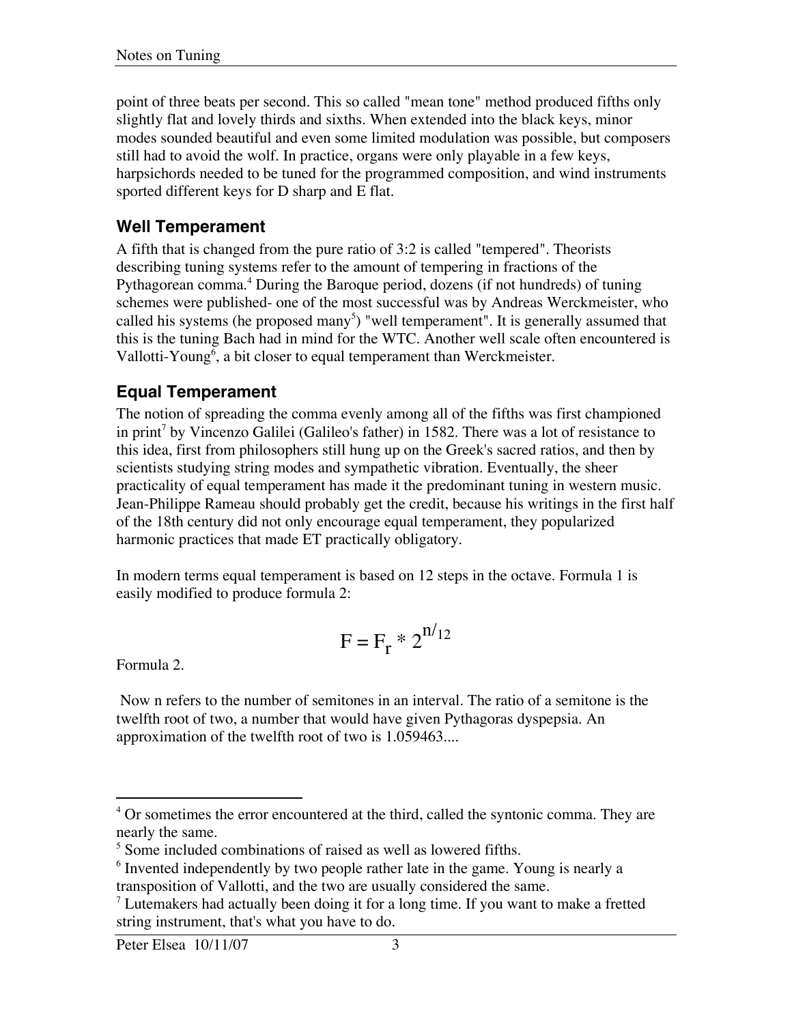point of three beats per second. This so called "mean tone" method produced fifths only slightly flat and lovely thirds and sixths. When extended into the black keys, minor modes sounded beautiful and even some limited modulation was possible, but composers still had to avoid the wolf. In practice, organs were only playable in a few keys, harpsichords needed to be tuned for the programmed composition, and wind instruments sported different keys for D sharp and E flat.

#### **Well Temperament**

A fifth that is changed from the pure ratio of 3:2 is called "tempered". Theorists describing tuning systems refer to the amount of tempering in fractions of the Pythagorean comma.<sup>4</sup> During the Baroque period, dozens (if not hundreds) of tuning schemes were published- one of the most successful was by Andreas Werckmeister, who called his systems (he proposed many<sup>5</sup>) "well temperament". It is generally assumed that this is the tuning Bach had in mind for the WTC. Another well scale often encountered is Vallotti-Young<sup>6</sup>, a bit closer to equal temperament than Werckmeister.

#### **Equal Temperament**

The notion of spreading the comma evenly among all of the fifths was first championed in print<sup>7</sup> by Vincenzo Galilei (Galileo's father) in 1582. There was a lot of resistance to this idea, first from philosophers still hung up on the Greek's sacred ratios, and then by scientists studying string modes and sympathetic vibration. Eventually, the sheer practicality of equal temperament has made it the predominant tuning in western music. Jean-Philippe Rameau should probably get the credit, because his writings in the first half of the 18th century did not only encourage equal temperament, they popularized harmonic practices that made ET practically obligatory.

In modern terms equal temperament is based on 12 steps in the octave. Formula 1 is easily modified to produce formula 2:

$$
F = F_r * 2^{n/12}
$$

Formula 2.

 Now n refers to the number of semitones in an interval. The ratio of a semitone is the twelfth root of two, a number that would have given Pythagoras dyspepsia. An approximation of the twelfth root of two is 1.059463....

<sup>&</sup>lt;sup>4</sup> Or sometimes the error encountered at the third, called the syntonic comma. They are nearly the same.

<sup>&</sup>lt;sup>5</sup> Some included combinations of raised as well as lowered fifths.

<sup>&</sup>lt;sup>6</sup> Invented independently by two people rather late in the game. Young is nearly a transposition of Vallotti, and the two are usually considered the same.

 $1$  Lutemakers had actually been doing it for a long time. If you want to make a fretted string instrument, that's what you have to do.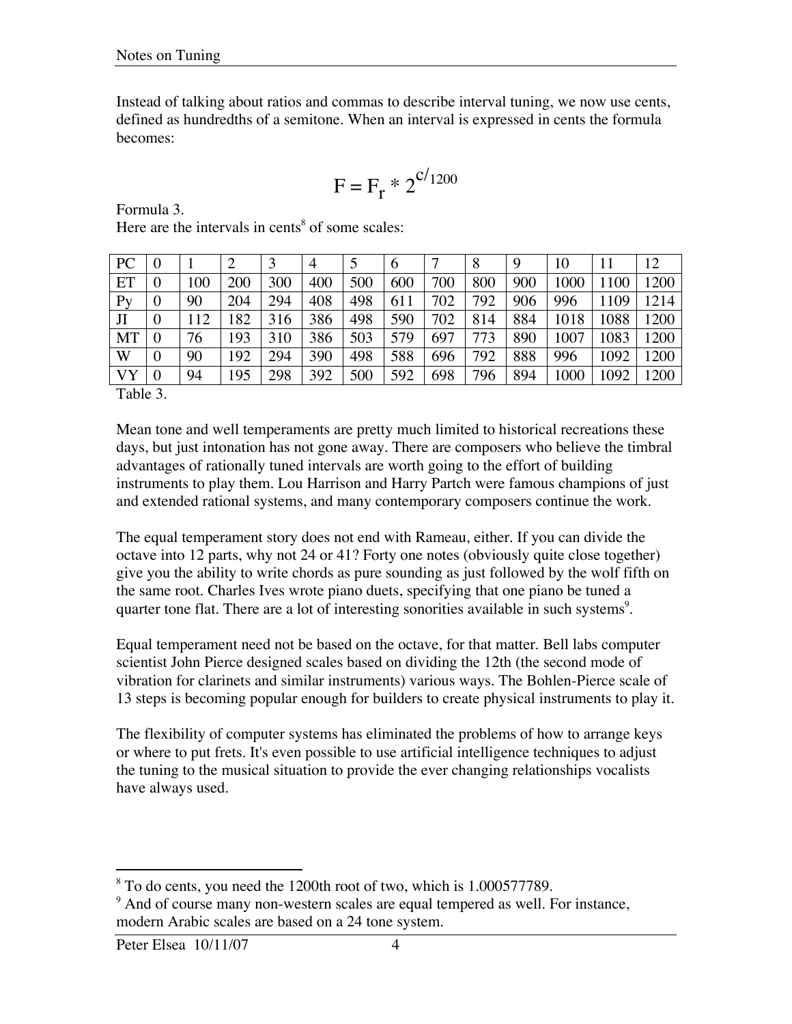Instead of talking about ratios and commas to describe interval tuning, we now use cents, defined as hundredths of a semitone. When an interval is expressed in cents the formula becomes:

$$
F = F_r * 2^{c/1200}
$$

Formula 3.

|          |     |     |     | 4   |     | 6   |     | 8   | 9   | 10   |      | 12   |
|----------|-----|-----|-----|-----|-----|-----|-----|-----|-----|------|------|------|
| $\theta$ | 100 | 200 | 300 | 400 | 500 | 600 | 700 | 800 | 900 | 1000 | 100  | 200  |
| $\theta$ | 90  | 204 | 294 | 408 | 498 | 611 | 702 | 792 | 906 | 996  | 109  | 1214 |
| $\theta$ | 112 | 82  | 316 | 386 | 498 | 590 | 702 | 814 | 884 | 1018 | 1088 | 1200 |
| $\theta$ | 76  | 93  | 310 | 386 | 503 | 579 | 697 | 773 | 890 | 1007 | 1083 | 1200 |
| $\theta$ | 90  | 92  | 294 | 390 | 498 | 588 | 696 | 792 | 888 | 996  | 1092 | .200 |
| $\theta$ | 94  | .95 | 298 | 392 | 500 | 592 | 698 | 796 | 894 | 1000 | 1092 | 1200 |
|          |     |     |     |     |     |     |     |     |     |      |      |      |

Here are the intervals in cents $<sup>8</sup>$  of some scales:</sup>

Table 3.

Mean tone and well temperaments are pretty much limited to historical recreations these days, but just intonation has not gone away. There are composers who believe the timbral advantages of rationally tuned intervals are worth going to the effort of building instruments to play them. Lou Harrison and Harry Partch were famous champions of just and extended rational systems, and many contemporary composers continue the work.

The equal temperament story does not end with Rameau, either. If you can divide the octave into 12 parts, why not 24 or 41? Forty one notes (obviously quite close together) give you the ability to write chords as pure sounding as just followed by the wolf fifth on the same root. Charles Ives wrote piano duets, specifying that one piano be tuned a quarter tone flat. There are a lot of interesting sonorities available in such systems<sup>9</sup>.

Equal temperament need not be based on the octave, for that matter. Bell labs computer scientist John Pierce designed scales based on dividing the 12th (the second mode of vibration for clarinets and similar instruments) various ways. The Bohlen-Pierce scale of 13 steps is becoming popular enough for builders to create physical instruments to play it.

The flexibility of computer systems has eliminated the problems of how to arrange keys or where to put frets. It's even possible to use artificial intelligence techniques to adjust the tuning to the musical situation to provide the ever changing relationships vocalists have always used.

 8 To do cents, you need the 1200th root of two, which is 1.000577789.

<sup>&</sup>lt;sup>9</sup> And of course many non-western scales are equal tempered as well. For instance, modern Arabic scales are based on a 24 tone system.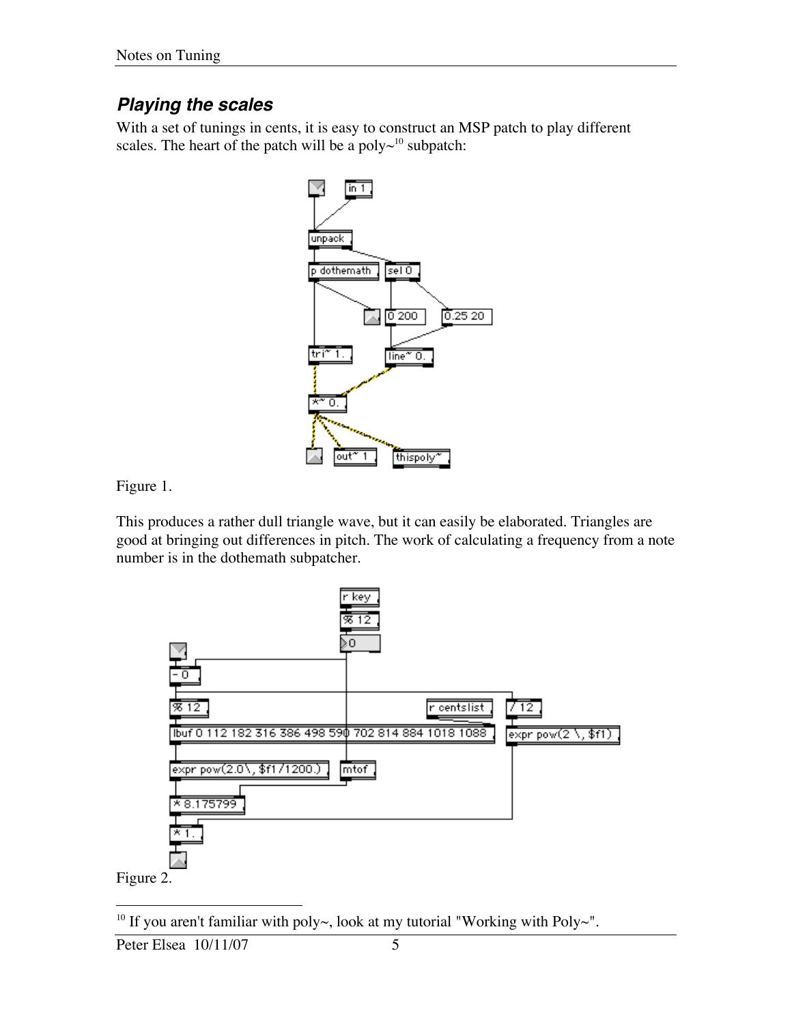### **Playing the scales**

With a set of tunings in cents, it is easy to construct an MSP patch to play different scales. The heart of the patch will be a poly $\sim^{10}$  subpatch:



Figure 1.

This produces a rather dull triangle wave, but it can easily be elaborated. Triangles are good at bringing out differences in pitch. The work of calculating a frequency from a note number is in the dothemath subpatcher.



<sup>10</sup> If you aren't familiar with poly~, look at my tutorial "Working with Poly~".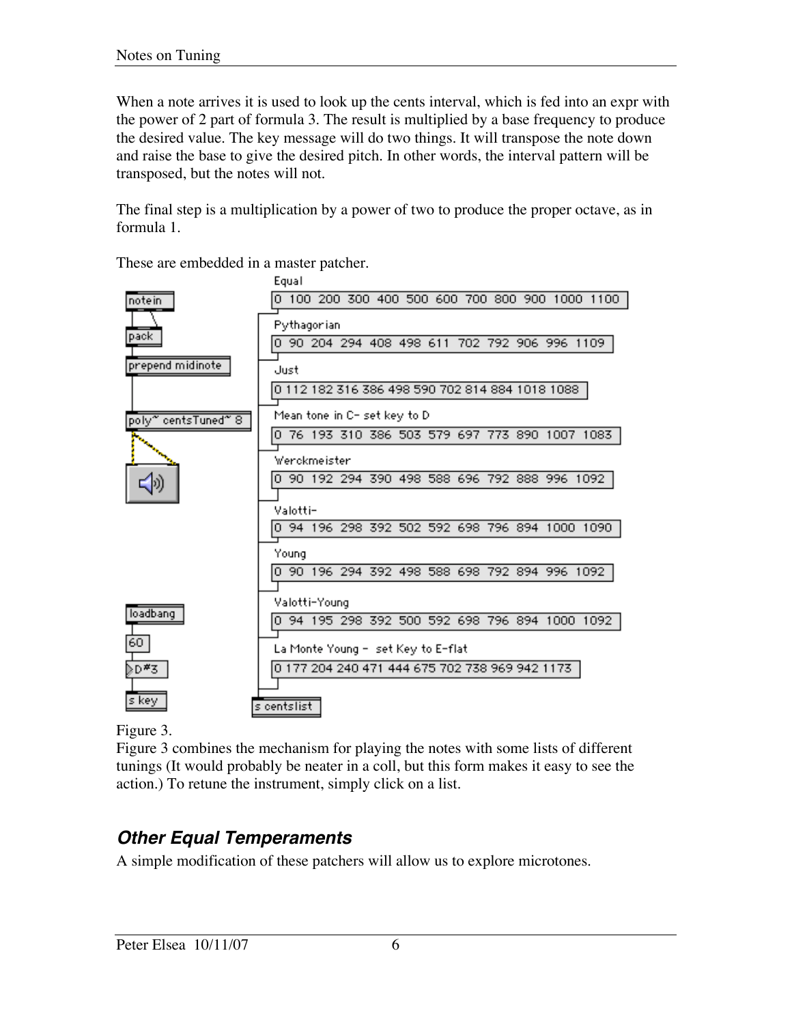When a note arrives it is used to look up the cents interval, which is fed into an expr with the power of 2 part of formula 3. The result is multiplied by a base frequency to produce the desired value. The key message will do two things. It will transpose the note down and raise the base to give the desired pitch. In other words, the interval pattern will be transposed, but the notes will not.

The final step is a multiplication by a power of two to produce the proper octave, as in formula 1.

These are embedded in a master patcher.



Figure 3.

Figure 3 combines the mechanism for playing the notes with some lists of different tunings (It would probably be neater in a coll, but this form makes it easy to see the action.) To retune the instrument, simply click on a list.

## **Other Equal Temperaments**

A simple modification of these patchers will allow us to explore microtones.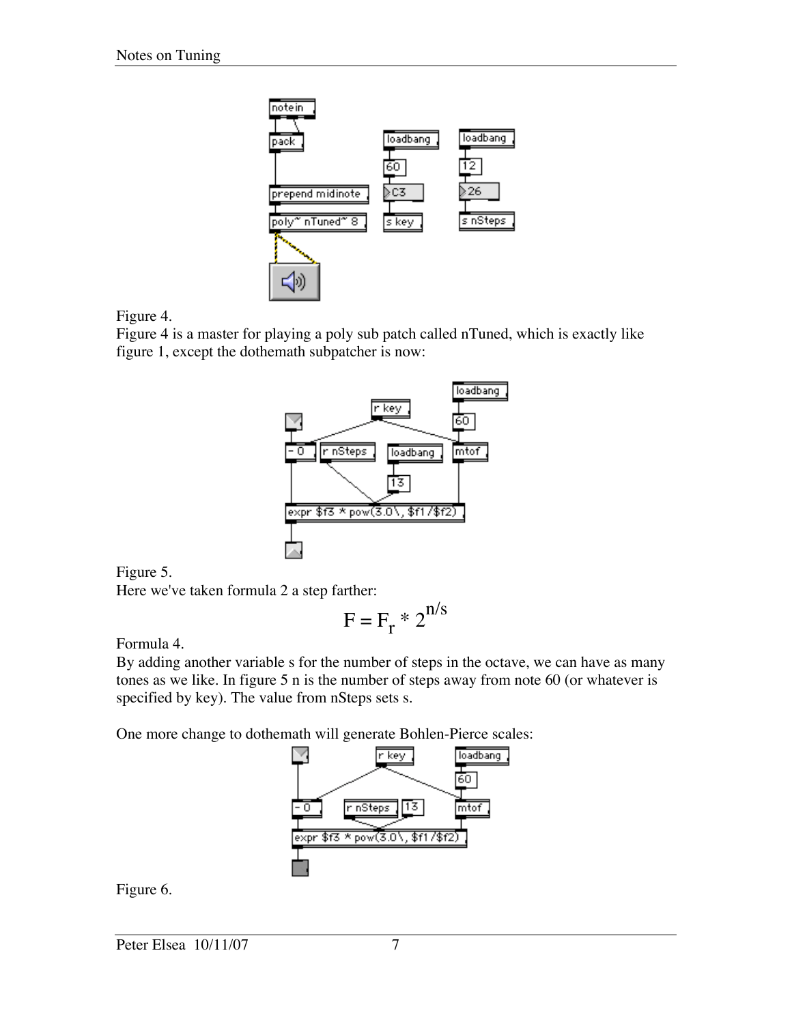

Figure 4.

Figure 4 is a master for playing a poly sub patch called nTuned, which is exactly like figure 1, except the dothemath subpatcher is now:



Figure 5.

Here we've taken formula 2 a step farther:

$$
F = F_r * 2^{n/s}
$$

Formula 4.

By adding another variable s for the number of steps in the octave, we can have as many tones as we like. In figure 5 n is the number of steps away from note 60 (or whatever is specified by key). The value from nSteps sets s.

One more change to dothemath will generate Bohlen-Pierce scales:



Figure 6.